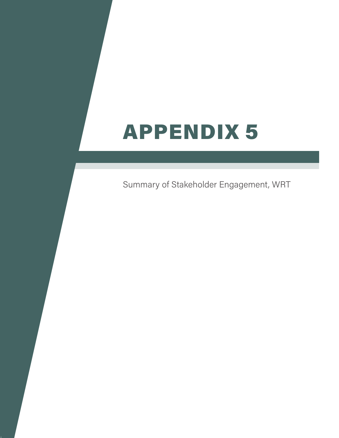## APPENDIX 5

Summary of Stakeholder Engagement, WRT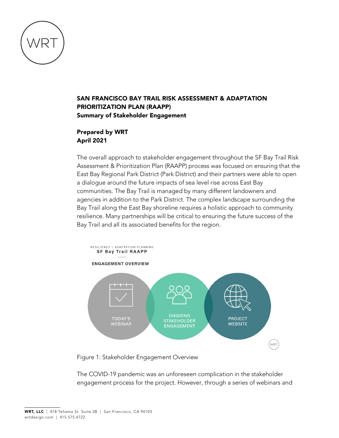

## SAN FRANCISCO BAY TRAIL RISK ASSESSMENT & ADAPTATION PRIORITIZATION PLAN (RAAPP) Summary of Stakeholder Engagement

## Prepared by WRT April 2021

The overall approach to stakeholder engagement throughout the SF Bay Trail Risk Assessment & Prioritization Plan (RAAPP) process was focused on ensuring that the East Bay Regional Park District (Park District) and their partners were able to open a dialogue around the future impacts of sea level rise across East Bay communities. The Bay Trail is managed by many different landowners and agencies in addition to the Park District. The complex landscape surrounding the Bay Trail along the East Bay shoreline requires a holistic approach to community resilience. Many partnerships will be critical to ensuring the future success of the Bay Trail and all its associated benefits for the region.



Figure 1: Stakeholder Engagement Overview

The COVID-19 pandemic was an unforeseen complication in the stakeholder engagement process for the project. However, through a series of webinars and

WRT, LLC | 478 Tehama St. Suite 2B | San Francisco, CA 94103 wrtdesign.com | 415.575.4722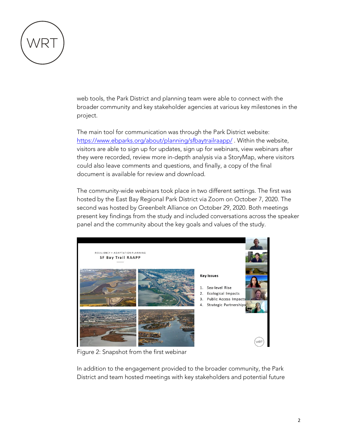

web tools, the Park District and planning team were able to connect with the broader community and key stakeholder agencies at various key milestones in the project.

The main tool for communication was through the Park District website: <https://www.ebparks.org/about/planning/sfbaytrailraapp/>. Within the website, visitors are able to sign up for updates, sign up for webinars, view webinars after they were recorded, review more in-depth analysis via a StoryMap, where visitors could also leave comments and questions, and finally, a copy of the final document is available for review and download.

The community-wide webinars took place in two different settings. The first was hosted by the East Bay Regional Park District via Zoom on October 7, 2020. The second was hosted by Greenbelt Alliance on October 29, 2020. Both meetings present key findings from the study and included conversations across the speaker panel and the community about the key goals and values of the study.



Figure 2: Snapshot from the first webinar

In addition to the engagement provided to the broader community, the Park District and team hosted meetings with key stakeholders and potential future